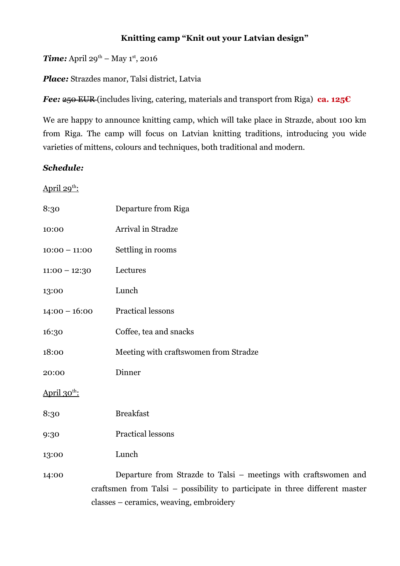## **Knitting camp "Knit out your Latvian design"**

*Time:* April 29<sup>th</sup> – May 1<sup>st</sup>, 2016

*Place:* Strazdes manor, Talsi district, Latvia

*Fee:* <del>250 EUR</del> (includes living, catering, materials and transport from Riga) **ca. 125€** 

We are happy to announce knitting camp, which will take place in Strazde, about 100 km from Riga. The camp will focus on Latvian knitting traditions, introducing you wide varieties of mittens, colours and techniques, both traditional and modern.

## *Schedule:*

<u>April 29<sup>th</sup>:</u>

| 8:30                     | Departure from Riga                                                                                                                            |
|--------------------------|------------------------------------------------------------------------------------------------------------------------------------------------|
| 10:00                    | Arrival in Stradze                                                                                                                             |
| $10:00 - 11:00$          | Settling in rooms                                                                                                                              |
| $11:00 - 12:30$          | Lectures                                                                                                                                       |
| 13:00                    | Lunch                                                                                                                                          |
| $14:00 - 16:00$          | <b>Practical lessons</b>                                                                                                                       |
| 16:30                    | Coffee, tea and snacks                                                                                                                         |
| 18:00                    | Meeting with craftswomen from Stradze                                                                                                          |
| 20:00                    | Dinner                                                                                                                                         |
| April $30^{\text{th}}$ : |                                                                                                                                                |
| 8:30                     | <b>Breakfast</b>                                                                                                                               |
| 9:30                     | Practical lessons                                                                                                                              |
| 13:00                    | Lunch                                                                                                                                          |
| 14:00                    | Departure from Strazde to Talsi - meetings with craftswomen and<br>craftsmen from Talsi – possibility to participate in three different master |
|                          | classes – ceramics, weaving, embroidery                                                                                                        |